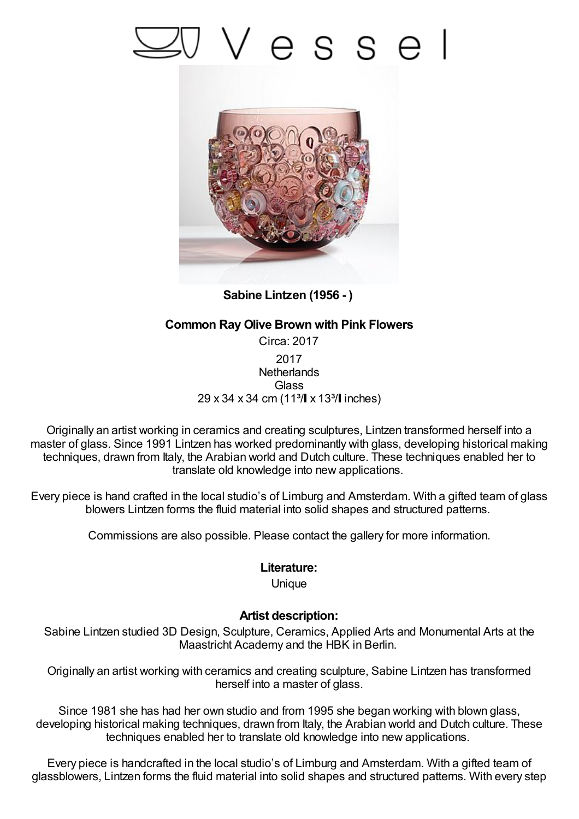## Vesse



**Sabine Lintzen (1956 - )**

## **Common Ray Olive Brown with Pink Flowers**

Circa: 2017 2017 **Netherlands Glass** 29 x 34 x 34 cm (11<sup>3</sup>/ x 13<sup>3</sup>/ linches)

Originally an artist working in ceramics and creating sculptures, Lintzen transformed herself into a master of glass. Since 1991 Lintzen has worked predominantly with glass, developing historical making techniques, drawn from Italy, the Arabian world and Dutch culture. These techniques enabled her to translate old knowledge into new applications.

Every piece is hand crafted in the local studio's of Limburg and Amsterdam. With a gifted team of glass blowers Lintzen forms the fluid material into solid shapes and structured patterns.

Commissions are also possible. Please contact the gallery for more information.

## **Literature:**

Unique

## **Artist description:**

Sabine Lintzen studied 3D Design, Sculpture, Ceramics, Applied Arts and Monumental Arts at the Maastricht Academy and the HBK in Berlin.

Originally an artist working with ceramics and creating sculpture, Sabine Lintzen has transformed herself into a master of glass.

Since 1981 she has had her own studio and from 1995 she began working with blown glass, developing historical making techniques, drawn from Italy, the Arabian world and Dutch culture. These techniques enabled her to translate old knowledge into new applications.

Every piece is handcrafted in the local studio's of Limburg and Amsterdam. With a gifted team of glassblowers, Lintzen forms the fluid material into solid shapes and structured patterns. With every step